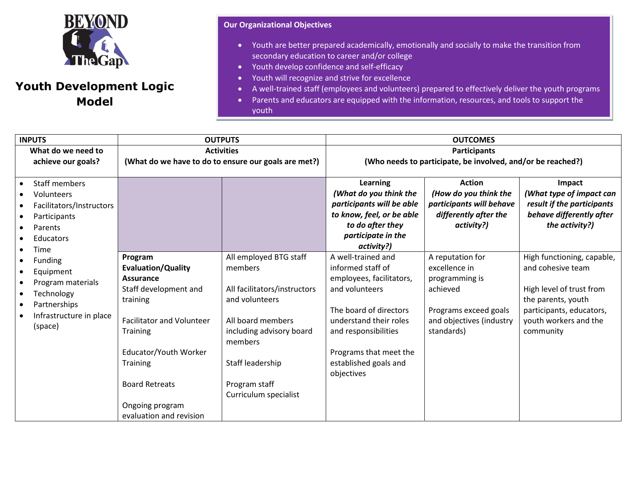

## **Youth Development Logic Model**

## **Our Organizational Objectives**

- Youth are better prepared academically, emotionally and socially to make the transition from secondary education to career and/or college
- Youth develop confidence and self-efficacy
- Youth will recognize and strive for excellence
- A well-trained staff (employees and volunteers) prepared to effectively deliver the youth programs
- Parents and educators are equipped with the information, resources, and tools to support the youth

| <b>INPUTS</b>                                                                                                                                                      | <b>OUTPUTS</b>                                                                                                                                                                                                                                                   |                                                                                                                                                                                                               | <b>OUTCOMES</b>                                                                                                                                                                                                                    |                                                                                                                                    |                                                                                                                                                                     |
|--------------------------------------------------------------------------------------------------------------------------------------------------------------------|------------------------------------------------------------------------------------------------------------------------------------------------------------------------------------------------------------------------------------------------------------------|---------------------------------------------------------------------------------------------------------------------------------------------------------------------------------------------------------------|------------------------------------------------------------------------------------------------------------------------------------------------------------------------------------------------------------------------------------|------------------------------------------------------------------------------------------------------------------------------------|---------------------------------------------------------------------------------------------------------------------------------------------------------------------|
| What do we need to<br>achieve our goals?                                                                                                                           | <b>Activities</b><br>(What do we have to do to ensure our goals are met?)                                                                                                                                                                                        |                                                                                                                                                                                                               | <b>Participants</b><br>(Who needs to participate, be involved, and/or be reached?)                                                                                                                                                 |                                                                                                                                    |                                                                                                                                                                     |
| <b>Staff members</b><br>$\bullet$<br>Volunteers<br>Facilitators/Instructors<br>Participants<br>Parents<br>$\bullet$<br>Educators<br>$\bullet$<br>Time<br>$\bullet$ |                                                                                                                                                                                                                                                                  |                                                                                                                                                                                                               | Learning<br>(What do you think the<br>participants will be able<br>to know, feel, or be able<br>to do after they<br>participate in the<br>activity?)                                                                               | <b>Action</b><br>(How do you think the<br>participants will behave<br>differently after the<br>activity?)                          | Impact<br>(What type of impact can<br>result if the participants<br>behave differently after<br>the activity?)                                                      |
| Funding<br>Equipment<br>$\bullet$<br>Program materials<br>Technology<br>Partnerships<br>Infrastructure in place<br>(space)                                         | Program<br><b>Evaluation/Quality</b><br>Assurance<br>Staff development and<br>training<br><b>Facilitator and Volunteer</b><br><b>Training</b><br>Educator/Youth Worker<br><b>Training</b><br><b>Board Retreats</b><br>Ongoing program<br>evaluation and revision | All employed BTG staff<br>members<br>All facilitators/instructors<br>and volunteers<br>All board members<br>including advisory board<br>members<br>Staff leadership<br>Program staff<br>Curriculum specialist | A well-trained and<br>informed staff of<br>employees, facilitators,<br>and volunteers<br>The board of directors<br>understand their roles<br>and responsibilities<br>Programs that meet the<br>established goals and<br>objectives | A reputation for<br>excellence in<br>programming is<br>achieved<br>Programs exceed goals<br>and objectives (industry<br>standards) | High functioning, capable,<br>and cohesive team<br>High level of trust from<br>the parents, youth<br>participants, educators,<br>youth workers and the<br>community |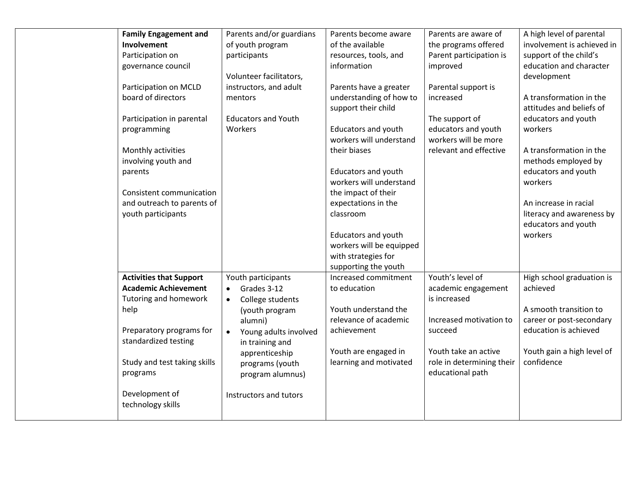| <b>Family Engagement and</b>   | Parents and/or guardians           | Parents become aware       | Parents are aware of      | A high level of parental   |
|--------------------------------|------------------------------------|----------------------------|---------------------------|----------------------------|
| Involvement                    | of youth program                   | of the available           | the programs offered      | involvement is achieved in |
| Participation on               | participants                       | resources, tools, and      | Parent participation is   | support of the child's     |
| governance council             |                                    | information                | improved                  | education and character    |
|                                | Volunteer facilitators,            |                            |                           | development                |
| Participation on MCLD          | instructors, and adult             | Parents have a greater     | Parental support is       |                            |
| board of directors             | mentors                            | understanding of how to    | increased                 | A transformation in the    |
|                                |                                    | support their child        |                           | attitudes and beliefs of   |
| Participation in parental      | <b>Educators and Youth</b>         |                            | The support of            | educators and youth        |
| programming                    | Workers                            | <b>Educators and youth</b> | educators and youth       | workers                    |
|                                |                                    | workers will understand    | workers will be more      |                            |
| Monthly activities             |                                    | their biases               | relevant and effective    | A transformation in the    |
| involving youth and            |                                    |                            |                           | methods employed by        |
| parents                        |                                    | Educators and youth        |                           | educators and youth        |
|                                |                                    | workers will understand    |                           | workers                    |
| Consistent communication       |                                    | the impact of their        |                           |                            |
| and outreach to parents of     |                                    | expectations in the        |                           | An increase in racial      |
| youth participants             |                                    | classroom                  |                           | literacy and awareness by  |
|                                |                                    |                            |                           | educators and youth        |
|                                |                                    | Educators and youth        |                           | workers                    |
|                                |                                    | workers will be equipped   |                           |                            |
|                                |                                    | with strategies for        |                           |                            |
|                                |                                    | supporting the youth       |                           |                            |
| <b>Activities that Support</b> | Youth participants                 | Increased commitment       | Youth's level of          | High school graduation is  |
| <b>Academic Achievement</b>    | Grades 3-12<br>$\bullet$           | to education               | academic engagement       | achieved                   |
| Tutoring and homework          | College students<br>$\bullet$      |                            | is increased              |                            |
| help                           | (youth program                     | Youth understand the       |                           | A smooth transition to     |
|                                | alumni)                            | relevance of academic      | Increased motivation to   | career or post-secondary   |
| Preparatory programs for       | Young adults involved<br>$\bullet$ | achievement                | succeed                   | education is achieved      |
| standardized testing           | in training and                    |                            |                           |                            |
|                                | apprenticeship                     | Youth are engaged in       | Youth take an active      | Youth gain a high level of |
| Study and test taking skills   | programs (youth                    | learning and motivated     | role in determining their | confidence                 |
| programs                       | program alumnus)                   |                            | educational path          |                            |
|                                |                                    |                            |                           |                            |
| Development of                 | Instructors and tutors             |                            |                           |                            |
| technology skills              |                                    |                            |                           |                            |
|                                |                                    |                            |                           |                            |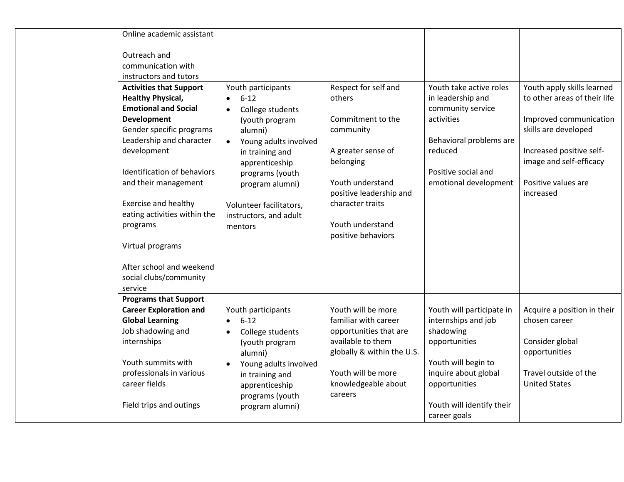| Online academic assistant                                     |                                    |                                             |                                 |                                  |
|---------------------------------------------------------------|------------------------------------|---------------------------------------------|---------------------------------|----------------------------------|
| Outreach and<br>communication with<br>instructors and tutors  |                                    |                                             |                                 |                                  |
| <b>Activities that Support</b>                                | Youth participants                 | Respect for self and                        | Youth take active roles         | Youth apply skills learned       |
| <b>Healthy Physical,</b>                                      | $6 - 12$<br>$\bullet$              | others                                      | in leadership and               | to other areas of their life     |
| <b>Emotional and Social</b><br>Development                    | College students<br>$\bullet$      | Commitment to the                           | community service<br>activities | Improved communication           |
| Gender specific programs                                      | (youth program<br>alumni)          | community                                   |                                 | skills are developed             |
| Leadership and character                                      | Young adults involved<br>$\bullet$ |                                             | Behavioral problems are         |                                  |
| development                                                   | in training and                    | A greater sense of                          | reduced                         | Increased positive self-         |
|                                                               | apprenticeship                     | belonging                                   |                                 | image and self-efficacy          |
| Identification of behaviors                                   | programs (youth                    |                                             | Positive social and             |                                  |
| and their management                                          | program alumni)                    | Youth understand<br>positive leadership and | emotional development           | Positive values are<br>increased |
| <b>Exercise and healthy</b>                                   | Volunteer facilitators,            | character traits                            |                                 |                                  |
| eating activities within the                                  | instructors, and adult             |                                             |                                 |                                  |
| programs                                                      | mentors                            | Youth understand                            |                                 |                                  |
|                                                               |                                    | positive behaviors                          |                                 |                                  |
| Virtual programs                                              |                                    |                                             |                                 |                                  |
| After school and weekend<br>social clubs/community<br>service |                                    |                                             |                                 |                                  |
| <b>Programs that Support</b>                                  |                                    |                                             |                                 |                                  |
| <b>Career Exploration and</b>                                 | Youth participants                 | Youth will be more                          | Youth will participate in       | Acquire a position in their      |
| <b>Global Learning</b>                                        | $6 - 12$<br>$\bullet$              | familiar with career                        | internships and job             | chosen career                    |
| Job shadowing and                                             | College students<br>$\bullet$      | opportunities that are<br>available to them | shadowing                       |                                  |
| internships                                                   | (youth program<br>alumni)          | globally & within the U.S.                  | opportunities                   | Consider global<br>opportunities |
| Youth summits with                                            | Young adults involved              |                                             | Youth will begin to             |                                  |
| professionals in various                                      | in training and                    | Youth will be more                          | inquire about global            | Travel outside of the            |
| career fields                                                 | apprenticeship                     | knowledgeable about                         | opportunities                   | <b>United States</b>             |
| Field trips and outings                                       | programs (youth                    | careers                                     | Youth will identify their       |                                  |
|                                                               | program alumni)                    |                                             | career goals                    |                                  |
|                                                               |                                    |                                             |                                 |                                  |